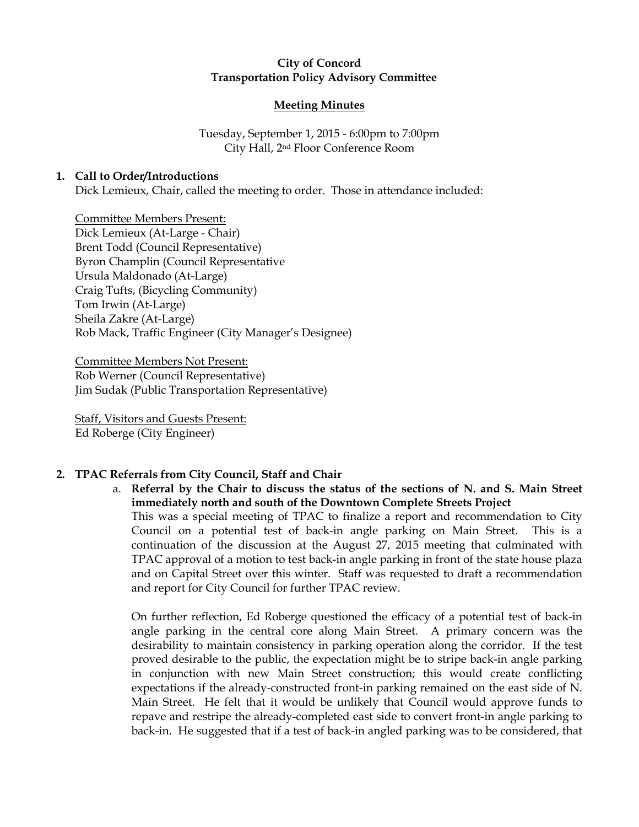# City of Concord Transportation Policy Advisory Committee

## Meeting Minutes

Tuesday, September 1, 2015 - 6:00pm to 7:00pm City Hall, 2nd Floor Conference Room

## 1. Call to Order/Introductions

Dick Lemieux, Chair, called the meeting to order. Those in attendance included:

Committee Members Present: Dick Lemieux (At-Large - Chair) Brent Todd (Council Representative) Byron Champlin (Council Representative Ursula Maldonado (At-Large) Craig Tufts, (Bicycling Community) Tom Irwin (At-Large) Sheila Zakre (At-Large) Rob Mack, Traffic Engineer (City Manager's Designee)

Committee Members Not Present: Rob Werner (Council Representative) Jim Sudak (Public Transportation Representative)

Staff, Visitors and Guests Present: Ed Roberge (City Engineer)

# 2. TPAC Referrals from City Council, Staff and Chair

a. Referral by the Chair to discuss the status of the sections of N. and S. Main Street immediately north and south of the Downtown Complete Streets Project This was a special meeting of TPAC to finalize a report and recommendation to City Council on a potential test of back-in angle parking on Main Street. This is a continuation of the discussion at the August 27, 2015 meeting that culminated with TPAC approval of a motion to test back-in angle parking in front of the state house plaza and on Capital Street over this winter. Staff was requested to draft a recommendation and report for City Council for further TPAC review.

On further reflection, Ed Roberge questioned the efficacy of a potential test of back-in angle parking in the central core along Main Street. A primary concern was the desirability to maintain consistency in parking operation along the corridor. If the test proved desirable to the public, the expectation might be to stripe back-in angle parking in conjunction with new Main Street construction; this would create conflicting expectations if the already-constructed front-in parking remained on the east side of N. Main Street. He felt that it would be unlikely that Council would approve funds to repave and restripe the already-completed east side to convert front-in angle parking to back-in. He suggested that if a test of back-in angled parking was to be considered, that